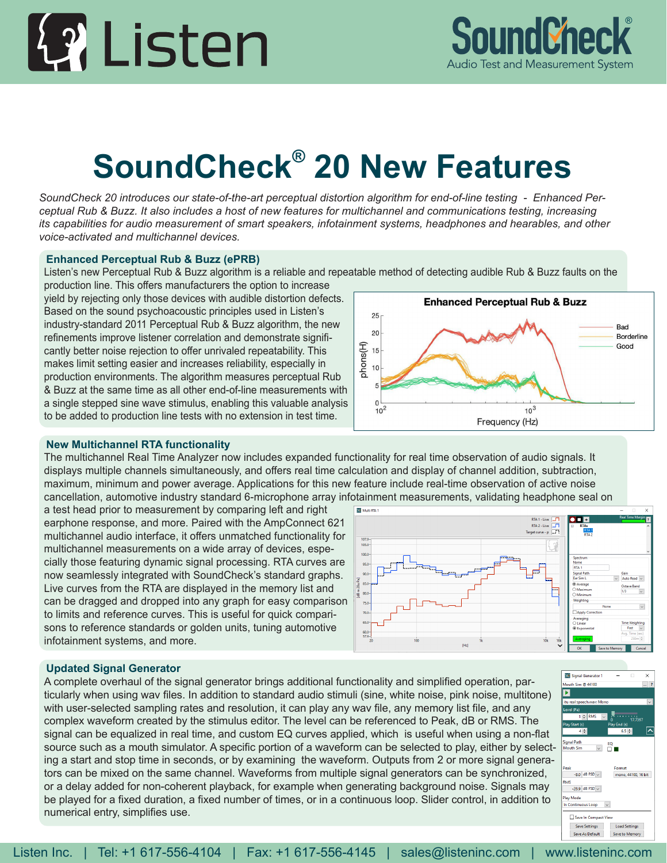## 42 Listen



## **SoundCheck® 20 New Features**

*SoundCheck 20 introduces our state-of-the-art perceptual distortion algorithm for end-of-line testing - Enhanced Perceptual Rub & Buzz. It also includes a host of new features for multichannel and communications testing, increasing its capabilities for audio measurement of smart speakers, infotainment systems, headphones and hearables, and other voice-activated and multichannel devices.*

## **Enhanced Perceptual Rub & Buzz (ePRB)**

Listen's new Perceptual Rub & Buzz algorithm is a reliable and repeatable method of detecting audible Rub & Buzz faults on the production line. This offers manufacturers the option to increase

yield by rejecting only those devices with audible distortion defects. Based on the sound psychoacoustic principles used in Listen's industry-standard 2011 Perceptual Rub & Buzz algorithm, the new refinements improve listener correlation and demonstrate significantly better noise rejection to offer unrivaled repeatability. This makes limit setting easier and increases reliability, especially in production environments. The algorithm measures perceptual Rub & Buzz at the same time as all other end-of-line measurements with a single stepped sine wave stimulus, enabling this valuable analysis to be added to production line tests with no extension in test time.



## **New Multichannel RTA functionality**

The multichannel Real Time Analyzer now includes expanded functionality for real time observation of audio signals. It displays multiple channels simultaneously, and offers real time calculation and display of channel addition, subtraction, maximum, minimum and power average. Applications for this new feature include real-time observation of active noise cancellation, automotive industry standard 6-microphone array infotainment measurements, validating headphone seal on

a test head prior to measurement by comparing left and right earphone response, and more. Paired with the AmpConnect 621 multichannel audio interface, it offers unmatched functionality for multichannel measurements on a wide array of devices, especially those featuring dynamic signal processing. RTA curves are now seamlessly integrated with SoundCheck's standard graphs. Live curves from the RTA are displayed in the memory list and can be dragged and dropped into any graph for easy comparison to limits and reference curves. This is useful for quick comparisons to reference standards or golden units, tuning automotive infotainment systems, and more.

## **SC** Multi RTA RTA 2 - Live  $\boxed{1}$ <br>Target curve - p 105.0 95.0  $\frac{1}{\sqrt{2}}$ 65. Fast  $\frac{60.0}{57.9}$  $[Hz] \centering% \includegraphics[width=1.0\textwidth]{Figures/PQ1-Architecture.png} \caption{The 3D (blue) and 4D (blue) are shown in the left and right.} \label{fig:1}$

## **Updated Signal Generator**

A complete overhaul of the signal generator brings additional functionality and simplified operation, particularly when using wav files. In addition to standard audio stimuli (sine, white noise, pink noise, multitone) with user-selected sampling rates and resolution, it can play any wav file, any memory list file, and any complex waveform created by the stimulus editor. The level can be referenced to Peak, dB or RMS. The signal can be equalized in real time, and custom EQ curves applied, which is useful when using a non-flat source such as a mouth simulator. A specific portion of a waveform can be selected to play, either by selecting a start and stop time in seconds, or by examining the waveform. Outputs from 2 or more signal generators can be mixed on the same channel. Waveforms from multiple signal generators can be synchronized, or a delay added for non-coherent playback, for example when generating background noise. Signals may be played for a fixed duration, a fixed number of times, or in a continuous loop. Slider control, in addition to numerical entry, simplifies use.